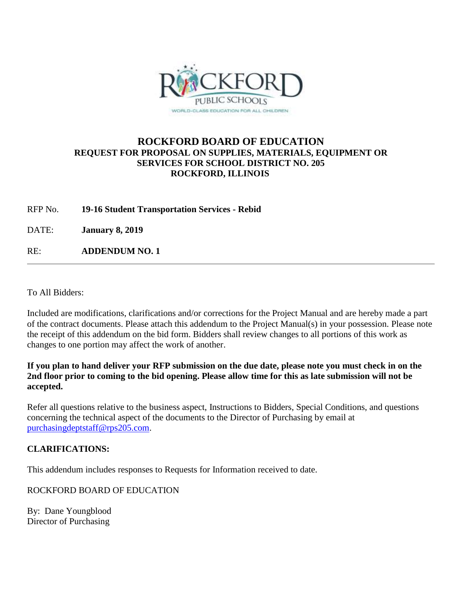

## **ROCKFORD BOARD OF EDUCATION REQUEST FOR PROPOSAL ON SUPPLIES, MATERIALS, EQUIPMENT OR SERVICES FOR SCHOOL DISTRICT NO. 205 ROCKFORD, ILLINOIS**

RFP No. **19-16 Student Transportation Services - Rebid**

DATE: **January 8, 2019**

RE: **ADDENDUM NO. 1**

To All Bidders:

Included are modifications, clarifications and/or corrections for the Project Manual and are hereby made a part of the contract documents. Please attach this addendum to the Project Manual(s) in your possession. Please note the receipt of this addendum on the bid form. Bidders shall review changes to all portions of this work as changes to one portion may affect the work of another.

**If you plan to hand deliver your RFP submission on the due date, please note you must check in on the 2nd floor prior to coming to the bid opening. Please allow time for this as late submission will not be accepted.**

Refer all questions relative to the business aspect, Instructions to Bidders, Special Conditions, and questions concerning the technical aspect of the documents to the Director of Purchasing by email at [purchasingdeptstaff@rps205.com.](mailto:purchasingdeptstaff@rps205.com)

## **CLARIFICATIONS:**

This addendum includes responses to Requests for Information received to date.

ROCKFORD BOARD OF EDUCATION

By: Dane Youngblood Director of Purchasing